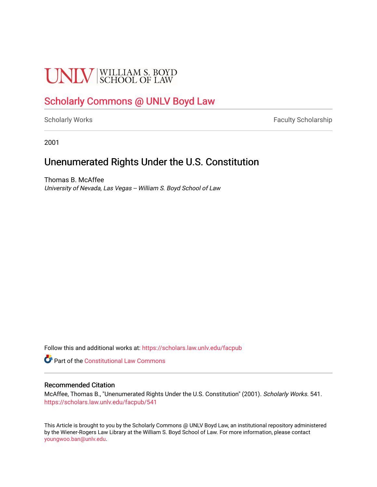# **UNLV** SCHOOL OF LAW

## [Scholarly Commons @ UNLV Boyd Law](https://scholars.law.unlv.edu/)

[Scholarly Works](https://scholars.law.unlv.edu/facpub) **Faculty Scholarship** Faculty Scholarship

2001

## Unenumerated Rights Under the U.S. Constitution

Thomas B. McAffee University of Nevada, Las Vegas -- William S. Boyd School of Law

Follow this and additional works at: [https://scholars.law.unlv.edu/facpub](https://scholars.law.unlv.edu/facpub?utm_source=scholars.law.unlv.edu%2Ffacpub%2F541&utm_medium=PDF&utm_campaign=PDFCoverPages)

Part of the [Constitutional Law Commons](http://network.bepress.com/hgg/discipline/589?utm_source=scholars.law.unlv.edu%2Ffacpub%2F541&utm_medium=PDF&utm_campaign=PDFCoverPages) 

#### Recommended Citation

McAffee, Thomas B., "Unenumerated Rights Under the U.S. Constitution" (2001). Scholarly Works. 541. [https://scholars.law.unlv.edu/facpub/541](https://scholars.law.unlv.edu/facpub/541?utm_source=scholars.law.unlv.edu%2Ffacpub%2F541&utm_medium=PDF&utm_campaign=PDFCoverPages)

This Article is brought to you by the Scholarly Commons @ UNLV Boyd Law, an institutional repository administered by the Wiener-Rogers Law Library at the William S. Boyd School of Law. For more information, please contact [youngwoo.ban@unlv.edu.](mailto:youngwoo.ban@unlv.edu)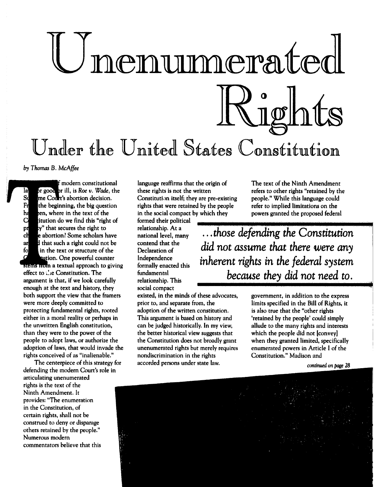# nenunmerat Righ Under the **United** States Constitution

*by Thomas* B. *McAffee*

modern constitutional la **r** pr good or ill, is Roe *v. Wade*, the<br>Su rme Court's abortion decision. **S<sub>t</sub> me Court's abortion decision.**<br>Fract the beginning, the big question the beginning, the big question h en, where in the text of the C itution do we find this "right of pr y" that secures the right to che le abortion? Some scholars have ard that such a right could not be fo in the text or structure of the ion. One powerful counter stems from a textual approach to giving effect to  $\therefore$  ie Constitution. The argument is that, if we look carefully enough at the text and history, they both support the view that the framers were more deeply committed to protecting fundamental rights, rooted either in a moral reality or perhaps in the unwritten English constitution, than they were to the power of the people to adopt laws, or authorize the adoption of laws, that would invade the rights conceived of as "inalienable."

The centerpiece of this strategy for defending the modern Court's role in articulating unenumerated rights is the text of the Ninth Amendment. It provides: "The enumeration in the Constitution, of certain rights, shall not be construed to deny or disparage others retained by the people." Numerous modern commentators believe that this

language reaffirms that the origin of these rights is not the written Constitution itself; they are pre-existing rights that were retained by the people in the social compact **by** which they

formed their political relationship. At a<br>national level, many contend that the Declaration of formally enacted this fundamental *be* relationship. This social compact

existed, in the minds of these advocates, prior to, and separate from, the adoption of the written constitution. This argument is based on history and can be judged historically. In my view, the better historical view suggests that the Constitution does not broadly grant unenumerated rights but merely requires nondiscrimination in the rights accorded persons under state law.

The text of the Ninth Amendment refers to other rights "retained by the people." While this language could refer to implied limitations on the powers granted the proposed federal

national level, many *th s defending the Constitution Independence*<br>formally enacted this *inherent rights in the federal system* did not assume that there were any because they did not need to.

> government, in addition to the express limits specified in the Bill of Rights, it is also true that the "other rights 'retained by the people' could simply allude to the many rights and interests which the people did not [convey] when they granted limited, specifically enumerated powers in Article **I** of the Constitution." Madison and

> > *continued* on *page 28*

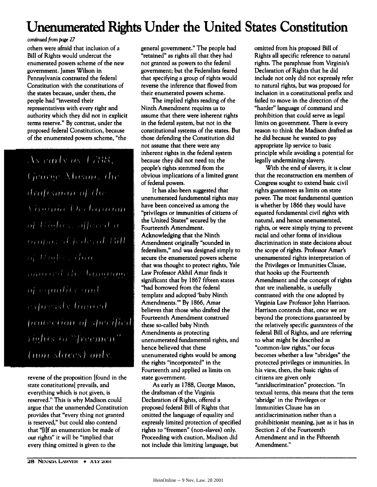## **Unenumerated Rights Under the United States Constitution**

#### *condnued from page 27*

others were afraid that inclusion of a Bill of Rights would undercut the enumerated powers scheme of the new government. James Wilson in Pennsylvania contrasted the federal Constitution with the constitutions of the states because, under them, the people had "invested their representatives with every right and authority which they did not in explicit terms reserve." **By** contrast, under the proposed federal Constitution, because of the enumerated powers scheme, "the

As carly as 1788. George Mason, the draftsman of the *Vivornia Declaration* of Righis, affired a brotosed federal Bill of Rhobin Hud ominied the language of equality and expressly limited protection of specified rights to "freemen" (non-slaves) only.

reverse of the proposition [found in the state constitutions] prevails, and everything which is not given, is reserved." This is why Madison could argue that the unamended Constitution provides that "every thing not granted is reserved," but could also contend that "[i]f an enumeration be made of our rights" it will be "implied that every thing omitted is given to the

The implied rights reading of the Ninth Amendment requires us to assume that there were inherent rights in the federal system, but not in the constitutional systems of the states. But those defending the Constitution did not assume that there were any inherent rights in the federal system because they did not need to; the people's rights stemmed from the obvious implications of a limited grant of federal powers.

It has also been suggested that unenumerated fundamental rights may have been conceived as among the "privileges or immunities of citizens of the United States" secured **by** the Fourteenth Amendment. Acknowledging that the Ninth Amendment originally "sounded in federalism," and was designed simply to secure the enumerated powers scheme that was thought to protect rights, Yale Law Professor Akhil Amar finds it significant that **by 1867** fifteen states "had borrowed from the federal template and adopted 'baby Ninth Amendments."' By **1866,** Amar believes that those who drafted the Fourteenth Amendment construed these so-called baby Ninth Amendments as protecting unenumerated fundamental rights, and hence believed that these unenumerated rights would be among the rights "incorporated" in the Fourteenth and applied as limits on state government.

As early as **1788,** George Mason, the draftsman of the Virginia Declaration of Rights, offered a proposed federal Bill of Rights that omitted the language of equality and expressly limited protection of specified rights to "freemen" (non-slaves) only. Proceeding with caution, Madison **did** not include this limiting language, but

omitted from his proposed Bill of Rights all specific reference to natural rights. The paraphrase from Virginia's Declaration of Rights that he did include not only did not expressly refer to natural rights, but was proposed for inclusion in a constitutional prefix and failed to move in the direction of the "harder" language of command and prohibition that could serve as legal limits on government. There is every reason to think the Madison drafted as he did because he wanted to pay appropriate lip service to basic principle while avoiding a potential for legally undermining slavery.

With the end of slavery, it is clear that the reconstruction era members of Congress sought to extend basic civil rights guarantees as limits on state power. The most fundamental question is whether by 1866 they would have equated fundamental civil rights with natural, and hence unenumerated, rights, or were simply trying to prevent racial and other forms of invidious discrimination in state decisions about the scope of rights. Professor Amar's unenumerated rights interpretation of the Privileges or Immunities Clause, that hooks up the Fourteenth Amendment and the concept of rights that are inalienable, is usefully contrasted with the one adopted **by** Virginia Law Professor John Harrison. Harrison contends that, once we are beyond the protections guaranteed **by** the relatively specific guarantees of the federal Bill of Rights, and are referring to what might be described as ''common-law rights," our focus becomes whether a law "abridges" the protected privileges or immunities. In his view, then, the basic rights of citizens are given only "antidiscrimination" protection. "In textual terms, this means that the term 'abridge' in the Privileges or Immunities Clause has an antidiscrimination rather than a prohibitionist meaning, just as it has in Section 2 of the Fourteenth Amendment and in the Fifteenth Amendment."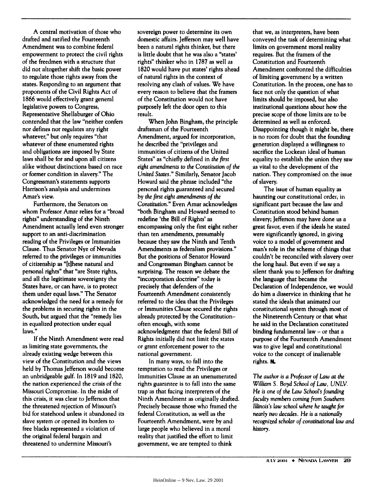A central motivation of those who drafted and ratified the Fourteenth Amendment was to combine federal empowerment to protect the civil rights of the freedmen with a structure that did not altogether shift the basic power to regulate those rights away from the states. Responding to an argument that proponents of the Civil Rights Act of 1866 would effectively grant general legislative powers to Congress, Representative Shellaburger of Ohio contended that **the** law "neither confers nor defines nor regulates any right whatever," but only requires "that whatever of these enumerated rights and obligations are imposed **by** State laws shall be for and upon all citizens alike without distinctions based on race or former condition in slavery." The Congressman's statements supports Harrison's analysis and undermines Amar's view.

Furthermore, the Senators on whom Professor Amar relies for a "broad rights" understanding of the Ninth Amendment actually lend even stronger support to an anti-discrimination reading of the Privileges or Immunities Clause. Thus Senator Nye of Nevada referred to the privileges or immunities of citizenship as "[tihese natural and personal rights" that "are State rights, and all the legitimate sovereignty the States have, or can have, is to protect them under equal laws." The Senator acknowledged the need for a remedy for the problems in securing rights in the South, but argued that the "remedy lies in equalized protection under equal laws."

**If** the Ninth Amendment were read as limiting state governments, the already existing wedge between this view of the Constitution and the views held **by** Thomas Jefferson would become an unbridgeable gulf. In **1819** and **1820,** the nation experienced the crisis of the Missouri Compromise. In the midst of this crisis, it was clear to Jefferson that the threatened rejection of Missouri's bid for statehood unless **it** abandoned its slave system or opened its borders to free blacks represented a violation of the original federal bargain and threatened to undermine Missouri's

sovereign power to determine its own domestic affairs. Jefferson may well have been a natural rights thinker, but there is little doubt that he was also a "states' rights" thinker who in **1787** as well as **1820** would have put states' rights ahead of natural rights in the context of resolving any clash of values. We have every reason to believe that the framers of the Constitution would not have purposely left the door open to this result.

When John Bingham, the principle draftsman of the Fourteenth Amendment, argued for incorporation, he described the "privileges and immunities of citizens of the United States" as "chiefly defined in *the* first eight amendments to the Constitution of the United States." Similarly, Senator Jacob Howard said the phrase included "the personal rights guaranteed and secured **by** *the first* eight amendments of the Constitution." Even Amar acknowledges "both Bingham and Howard seemed to redefine 'the Bill of Rights' as encompassing only the first eight rather than ten amendments, presumably because they saw the Ninth and Tenth Amendments as federalism provisions." But the positions of Senator Howard and Congressman Bingham cannot be surprising. The reason we debate the "incorporation doctrine" today is precisely that defenders of the Fourteenth Amendment consistently referred to the idea that the Privileges or Immunities Clause secured the rights already protected by the Constitutionoften enough, with some acknowledgment that the federal Bill of Rights initially did not limit the states or grant enforcement power to the national government.

In many ways, to fall into the temptation to read the Privileges or Immunities Clause as an unenumerated rights guarantee is to fall into the same trap as that facing interpreters of the Ninth Amendment as originally drafted. Precisely because those who framed the federal Constitution, as well as the Fourteenth Amendment, were **by** and large people who believed in a moral reality that justified the effort to limit government, we are tempted to think

that we, as interpreters, have been conveyed the task of determining what limits on government moral reality requires. But the framers of the Constitution and Fourteenth Amendment confronted the difficulties of limiting government **by** a written Constitution. In the process, one has to face not only the question of what limits should be imposed, but also institutional questions about how the precise scope of those limits are to be determined as well as enforced. Disappointing though it might be, there is no room for doubt that the founding generation displayed a willingness to sacrifice the Lockean ideal of human equality to establish the union they saw as vital to the development of the nation. They compromised on the issue of slavery.

The issue of human equality as haunting our constitutional order, in significant part because the law and Constitution stood behind human slavery; Jefferson may have done us a great favor, even if the ideals he stated were significantly ignored, in giving voice to a model of government and man's role in the scheme of things that couldn't be reconciled with slavery over the long haul. But even if we say a silent thank you to Jefferson for drafting the language that became the Declaration of Independence, we would do him a disservice in thinking that he stated the ideals that animated our constitutional system through most of the Nineteenth Century or that what he said in the Declaration constituted binding fundamental law - **or** that a purpose of the Fourteenth Amendment was to give legal and constitutional voice to the concept of inalienable rights. **O.**

*The author* is *a Professor of* Law at the William S. Boyd *School of* Law, *UNLV. He is one of* the Law School's founding *faculty* members coming from Southern *Illinois's law school* where *he taught for* nearly two decades. He is a nationally recognized scholar of constitutional law and history.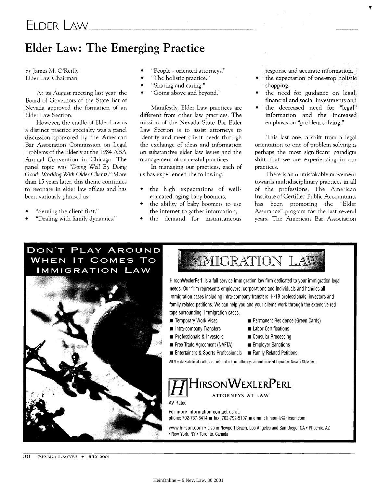## **Elder Law: The Emerging Practice**

*b%* lames **M.** O'Reilly Elder Law Chairman

At its August meeting last year, the Board of Governors of the State Bar of Nevada approved the formation of an Elder Law Section.

However, the cradle of Elder Law as a distinct practice specialty was a panel discussion sponsored by the American Bar Association Commission on Legal Problems of the Elderly at the 1984 ABA Annual Convention in Chicago. The panel topic was *"Doing Well* By *Doing* Good, Working With Older Clients." More than 15 years later, this theme continues to resonate in elder law offices and has been variously phrased as:

- \* "Serving the client first."
- \* "Dealing with family dynamics."
- \* "People oriented attorneys."
- \* "The holistic practice."
- \* "Sharing and caring."
- \* "Going above and beyond."

Manifestly, Elder Law practices are different from other law practices. The mission of the Nevada State Bar Elder Law Section is to assist attorneys to identify and meet client needs through the exchange of ideas and information on substantive elder law issues and the management of successful practices.

In managing our practices, each of us has experienced the following:

- **"** the high expectations of welleducated, aging baby boomers,
- the ability of baby boomers to use the internet to gather information,
- the demand for instantaneous

response and accurate information, • the expectation of one-stop holistic

- shopping,
- **"** the need for guidance on legal, financial and social investments and
- the decreased need for "legal" information and the increased emphasis on "problem solving."

This last one, a shift from a legal orientation to one of problem solving is perhaps the most significant paradigm shift that we are experiencing in our practices.

There is an unmistakable movement towards multidisciplinary practices in all of the professions. The American Institute of Certified Public Accountants has been promoting the "Elder Assurance" program for the last several years. The American Bar Association

#### DON'T PLAY AROUND **WHEN IT COMES TO** IMMIGRATION LAW



# **MMIGRATION LAV**

HirsonWexlerPerl is a full service immigration law firm dedicated to your immigration legal needs. Our firm represents employers, corporations and individuals and handles all immigration cases including intra-company transfers, H-1B professionals, investors and family related petitions. We can help you and your clients work through the extensive red tape surrounding immigration cases.

- 
- $\blacksquare$  Intra-company Transfers  $\blacksquare$  Labor Certifications
- **Example 3 Professionals & Investors Consular Processing**
- **Example 3** Free Trade Agreement (NAFTA) **Employer Sanctions**
- 
- **m** Temporary Work Visas **Exercise 19 International Permanent Residence (Green Cards)** 
	-
	-
	-
- **Entertainers & Sports Professionals . Family Related Petitions**

**All** Nevada State legal matters are referred out; our attorneys are not licensed to practice Nevada State law.

#### **HHIRSONWEXLERPERL ATTORNEYS AT LAW**

AV Rated

For more information contact us at: phone: **702-737-5414 s** fax: **702-792-5107** . email: hirson-lv@hirson.com

www.hirson.com **•** also in Newport Beach, Los Angeles and San Diego, **CA •** Phoenix, AZ \* New York, NY \* Toronto, Canada